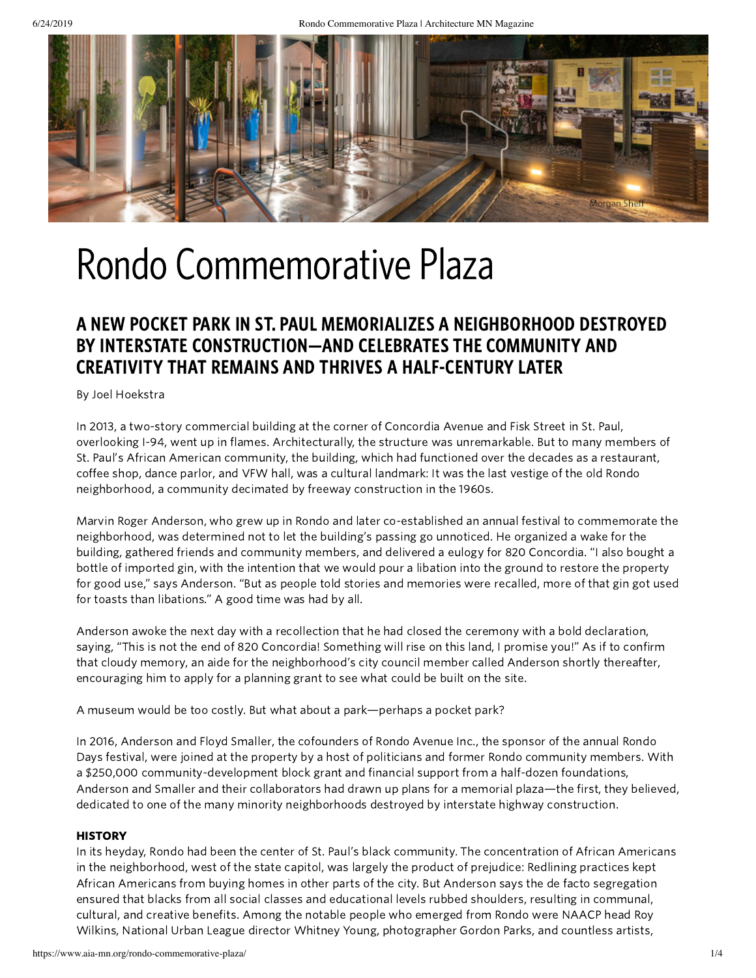

## Rondo Commemorative Plaza

## A NEW POCKET PARK IN ST. PAUL MEMORIALIZES A NEIGHBORHOOD DESTROYED BY INTERSTATE CONSTRUCTION—AND CELEBRATES THE COMMUNITY AND CREATIVITY THAT REMAINS AND THRIVES A HALF-CENTURY LATER

By Joel Hoekstra

In 2013, a two-story commercial building at the corner of Concordia Avenue and Fisk Street in St. Paul, overlooking I-94, went up in flames. Architecturally, the structure was unremarkable. But to many members of St. Paul's African American community, the building, which had functioned over the decades as a restaurant, coffee shop, dance parlor, and VFW hall, was a cultural landmark: It was the last vestige of the old Rondo neighborhood, a community decimated by freeway construction in the 1960s.

Marvin Roger Anderson, who grew up in Rondo and later co-established an annual festival to commemorate the neighborhood, was determined not to let the building's passing go unnoticed. He organized a wake for the building, gathered friends and community members, and delivered a eulogy for 820 Concordia. "I also bought a bottle of imported gin, with the intention that we would pour a libation into the ground to restore the property for good use," says Anderson. "But as people told stories and memories were recalled, more of that gin got used for toasts than libations." A good time was had by all.

Anderson awoke the next day with a recollection that he had closed the ceremony with a bold declaration, saying, "This is not the end of 820 Concordia! Something will rise on this land, I promise you!" As if to confirm that cloudy memory, an aide for the neighborhood's city council member called Anderson shortly thereafter, encouraging him to apply for a planning grant to see what could be built on the site.

A museum would be too costly. But what about a park—perhaps a pocket park?

In 2016, Anderson and Floyd Smaller, the cofounders of Rondo Avenue Inc., the sponsor of the annual Rondo Days festival, were joined at the property by a host of politicians and former Rondo community members. With a \$250,000 community-development block grant and financial support from a half-dozen foundations, Anderson and Smaller and their collaborators had drawn up plans for a memorial plaza—the first, they believed, dedicated to one of the many minority neighborhoods destroyed by interstate highway construction.

#### **HISTORY**

In its heyday, Rondo had been the center of St. Paul's black community. The concentration of African Americans in the neighborhood, west of the state capitol, was largely the product of prejudice: Redlining practices kept African Americans from buying homes in other parts of the city. But Anderson says the de facto segregation ensured that blacks from all social classes and educational levels rubbed shoulders, resulting in communal, cultural, and creative benefits. Among the notable people who emerged from Rondo were NAACP head Roy Wilkins, National Urban League director Whitney Young, photographer Gordon Parks, and countless artists,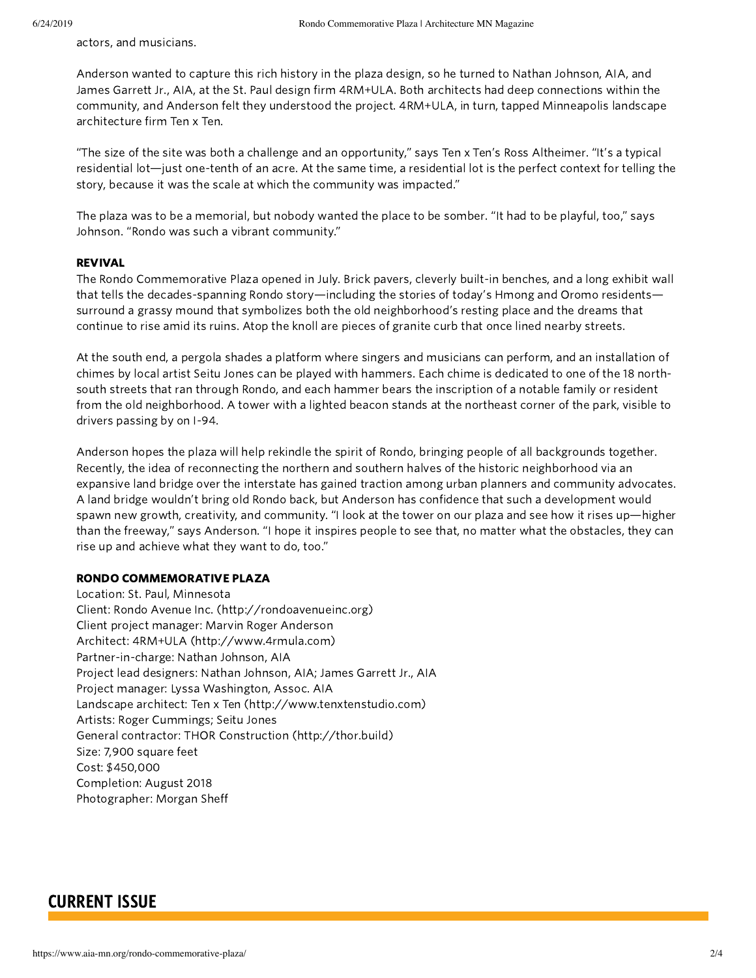actors, and musicians.

Anderson wanted to capture this rich history in the plaza design, so he turned to Nathan Johnson, AIA, and James Garrett Jr., AIA, at the St. Paul design firm 4RM+ULA. Both architects had deep connections within the community, and Anderson felt they understood the project. 4RM+ULA, in turn, tapped Minneapolis landscape architecture firm Ten x Ten.

"The size of the site was both a challenge and an opportunity," says Ten x Ten's Ross Altheimer. "It's a typical residential lot—just one-tenth of an acre. At the same time, a residential lot is the perfect context for telling the story, because it was the scale at which the community was impacted."

The plaza was to be a memorial, but nobody wanted the place to be somber. "It had to be playful, too," says Johnson. "Rondo was such a vibrant community."

#### REVIVAL

The Rondo Commemorative Plaza opened in July. Brick pavers, cleverly built-in benches, and a long exhibit wall that tells the decades-spanning Rondo story—including the stories of today's Hmong and Oromo residents surround a grassy mound that symbolizes both the old neighborhood's resting place and the dreams that continue to rise amid its ruins. Atop the knoll are pieces of granite curb that once lined nearby streets.

At the south end, a pergola shades a platform where singers and musicians can perform, and an installation of chimes by local artist Seitu Jones can be played with hammers. Each chime is dedicated to one of the 18 northsouth streets that ran through Rondo, and each hammer bears the inscription of a notable family or resident from the old neighborhood. A tower with a lighted beacon stands at the northeast corner of the park, visible to drivers passing by on I-94.

Anderson hopes the plaza will help rekindle the spirit of Rondo, bringing people of all backgrounds together. Recently, the idea of reconnecting the northern and southern halves of the historic neighborhood via an expansive land bridge over the interstate has gained traction among urban planners and community advocates. A land bridge wouldn't bring old Rondo back, but Anderson has confidence that such a development would spawn new growth, creativity, and community. "I look at the tower on our plaza and see how it rises up—higher than the freeway," says Anderson. "I hope it inspires people to see that, no matter what the obstacles, they can rise up and achieve what they want to do, too."

#### RONDO COMMEMORATIVE PLAZA

Location: St. Paul, Minnesota Client: Rondo Avenue Inc. [\(http://rondoavenueinc.org\)](http://rondoavenueinc.org/) Client project manager: Marvin Roger Anderson Architect: 4RM+ULA [\(http://www.4rmula.com\)](http://www.4rmula.com/) Partner-in-charge: Nathan Johnson, AIA Project lead designers: Nathan Johnson, AIA; James Garrett Jr., AIA Project manager: Lyssa Washington, Assoc. AIA Landscape architect: Ten x Ten [\(http://www.tenxtenstudio.com\)](http://www.tenxtenstudio.com/) Artists: Roger Cummings; Seitu Jones General contractor: THOR Construction [\(http://thor.build\)](http://thor.build/) Size: 7,900 square feet Cost: \$450,000 Completion: August 2018 Photographer: Morgan Sheff

### CURRENT ISSUE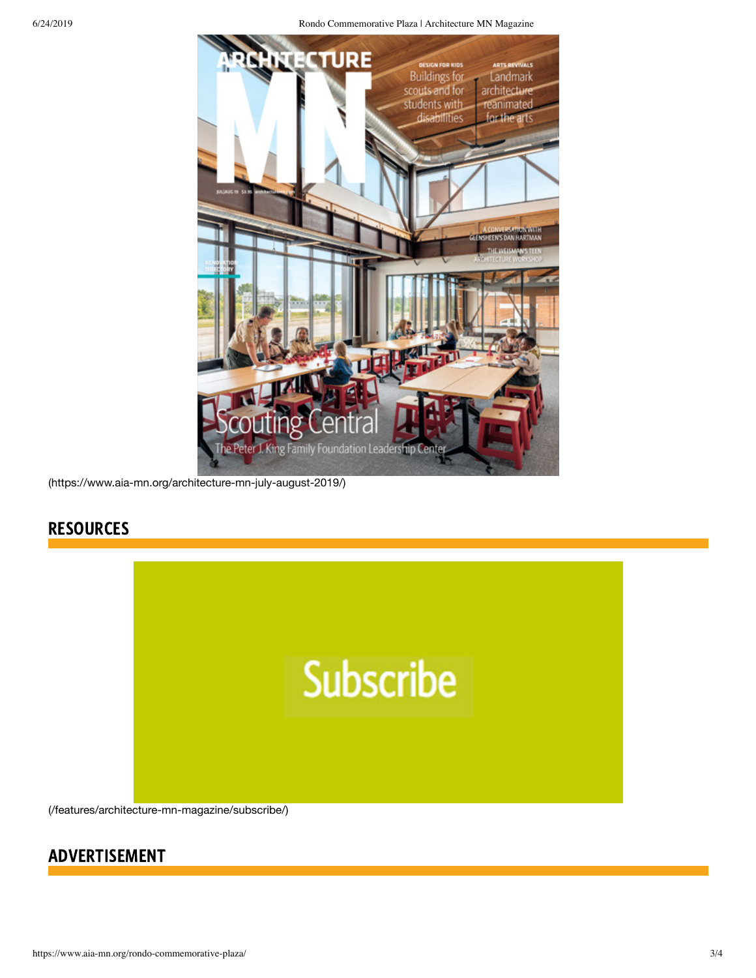6/24/2019 Rondo Commemorative Plaza | Architecture MN Magazine



[\(https://www.aia-mn.org/architecture-mn-july-august-2019/\)](https://www.aia-mn.org/architecture-mn-july-august-2019/)

## **RESOURCES**



[\(/features/architecture-mn-magazine/subscribe/\)](https://www.aia-mn.org/features/architecture-mn-magazine/subscribe/)

## ADVERTISEMENT